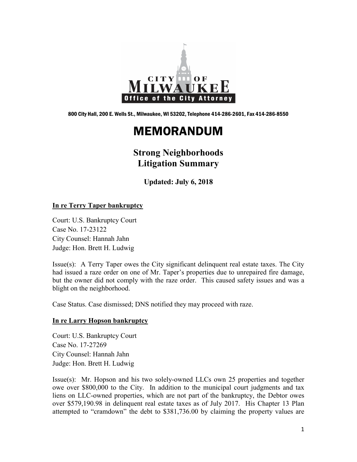

800 City Hall, 200 E. Wells St., Milwaukee, WI 53202, Telephone 414-286-2601, Fax 414-286-8550

# MEMORANDUM

# **Strong Neighborhoods Litigation Summary**

**Updated: July 6, 2018**

# **In re Terry Taper bankruptcy**

Court: U.S. Bankruptcy Court Case No. 17-23122 City Counsel: Hannah Jahn Judge: Hon. Brett H. Ludwig

Issue(s): A Terry Taper owes the City significant delinquent real estate taxes. The City had issued a raze order on one of Mr. Taper's properties due to unrepaired fire damage, but the owner did not comply with the raze order. This caused safety issues and was a blight on the neighborhood.

Case Status. Case dismissed; DNS notified they may proceed with raze.

#### **In re Larry Hopson bankruptcy**

Court: U.S. Bankruptcy Court Case No. 17-27269 City Counsel: Hannah Jahn Judge: Hon. Brett H. Ludwig

Issue(s): Mr. Hopson and his two solely-owned LLCs own 25 properties and together owe over \$800,000 to the City. In addition to the municipal court judgments and tax liens on LLC-owned properties, which are not part of the bankruptcy, the Debtor owes over \$579,190.98 in delinquent real estate taxes as of July 2017. His Chapter 13 Plan attempted to "cramdown" the debt to \$381,736.00 by claiming the property values are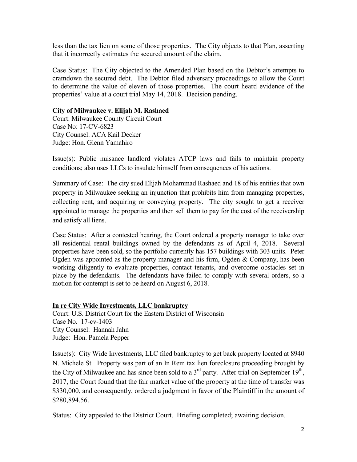less than the tax lien on some of those properties. The City objects to that Plan, asserting that it incorrectly estimates the secured amount of the claim.

Case Status: The City objected to the Amended Plan based on the Debtor's attempts to cramdown the secured debt. The Debtor filed adversary proceedings to allow the Court to determine the value of eleven of those properties. The court heard evidence of the properties' value at a court trial May 14, 2018. Decision pending.

# **City of Milwaukee v. Elijah M. Rashaed**

Court: Milwaukee County Circuit Court Case No: 17-CV-6823 City Counsel: ACA Kail Decker Judge: Hon. Glenn Yamahiro

Issue(s): Public nuisance landlord violates ATCP laws and fails to maintain property conditions; also uses LLCs to insulate himself from consequences of his actions.

Summary of Case: The city sued Elijah Mohammad Rashaed and 18 of his entities that own property in Milwaukee seeking an injunction that prohibits him from managing properties, collecting rent, and acquiring or conveying property. The city sought to get a receiver appointed to manage the properties and then sell them to pay for the cost of the receivership and satisfy all liens.

Case Status: After a contested hearing, the Court ordered a property manager to take over all residential rental buildings owned by the defendants as of April 4, 2018. Several properties have been sold, so the portfolio currently has 157 buildings with 303 units. Peter Ogden was appointed as the property manager and his firm, Ogden  $\&$  Company, has been working diligently to evaluate properties, contact tenants, and overcome obstacles set in place by the defendants. The defendants have failed to comply with several orders, so a motion for contempt is set to be heard on August 6, 2018.

#### **In re City Wide Investments, LLC bankruptcy**

Court: U.S. District Court for the Eastern District of Wisconsin Case No. 17-cv-1403 City Counsel: Hannah Jahn Judge: Hon. Pamela Pepper

Issue(s): City Wide Investments, LLC filed bankruptcy to get back property located at 8940 N. Michele St. Property was part of an In Rem tax lien foreclosure proceeding brought by the City of Milwaukee and has since been sold to a  $3<sup>rd</sup>$  party. After trial on September 19<sup>th</sup>, 2017, the Court found that the fair market value of the property at the time of transfer was \$330,000, and consequently, ordered a judgment in favor of the Plaintiff in the amount of \$280,894.56.

Status: City appealed to the District Court. Briefing completed; awaiting decision.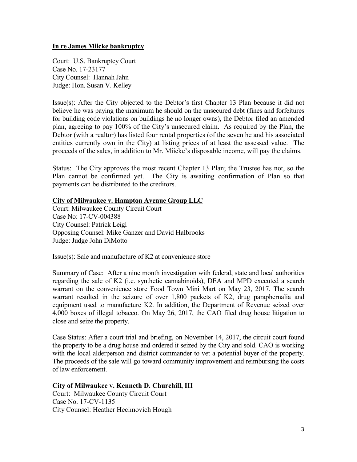#### **In re James Miicke bankruptcy**

Court: U.S. Bankruptcy Court Case No. 17-23177 City Counsel: Hannah Jahn Judge: Hon. Susan V. Kelley

Issue(s): After the City objected to the Debtor's first Chapter 13 Plan because it did not believe he was paying the maximum he should on the unsecured debt (fines and forfeitures for building code violations on buildings he no longer owns), the Debtor filed an amended plan, agreeing to pay 100% of the City's unsecured claim. As required by the Plan, the Debtor (with a realtor) has listed four rental properties (of the seven he and his associated entities currently own in the City) at listing prices of at least the assessed value. The proceeds of the sales, in addition to Mr. Miicke's disposable income, will pay the claims.

Status: The City approves the most recent Chapter 13 Plan; the Trustee has not, so the Plan cannot be confirmed yet. The City is awaiting confirmation of Plan so that payments can be distributed to the creditors.

# **City of Milwaukee v. Hampton Avenue Group LLC**

Court: Milwaukee County Circuit Court Case No: 17-CV-004388 City Counsel: Patrick Leigl Opposing Counsel: Mike Ganzer and David Halbrooks Judge: Judge John DiMotto

Issue(s): Sale and manufacture of K2 at convenience store

Summary of Case: After a nine month investigation with federal, state and local authorities regarding the sale of K2 (i.e. synthetic cannabinoids), DEA and MPD executed a search warrant on the convenience store Food Town Mini Mart on May 23, 2017. The search warrant resulted in the seizure of over 1,800 packets of K2, drug paraphernalia and equipment used to manufacture K2. In addition, the Department of Revenue seized over 4,000 boxes of illegal tobacco. On May 26, 2017, the CAO filed drug house litigation to close and seize the property.

Case Status: After a court trial and briefing, on November 14, 2017, the circuit court found the property to be a drug house and ordered it seized by the City and sold. CAO is working with the local alderperson and district commander to vet a potential buyer of the property. The proceeds of the sale will go toward community improvement and reimbursing the costs of law enforcement.

#### **City of Milwaukee v. Kenneth D. Churchill, III**

Court: Milwaukee County Circuit Court Case No. 17-CV-1135 City Counsel: Heather Hecimovich Hough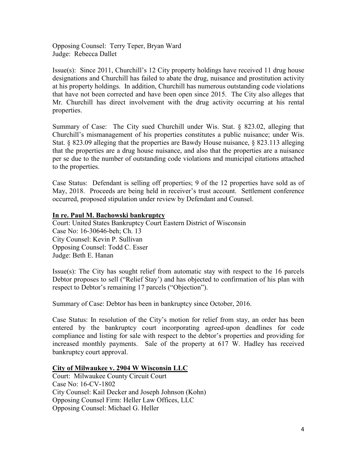Opposing Counsel: Terry Teper, Bryan Ward Judge: Rebecca Dallet

Issue(s): Since 2011, Churchill's 12 City property holdings have received 11 drug house designations and Churchill has failed to abate the drug, nuisance and prostitution activity at his property holdings. In addition, Churchill has numerous outstanding code violations that have not been corrected and have been open since 2015. The City also alleges that Mr. Churchill has direct involvement with the drug activity occurring at his rental properties.

Summary of Case: The City sued Churchill under Wis. Stat. § 823.02, alleging that Churchill's mismanagement of his properties constitutes a public nuisance; under Wis. Stat. § 823.09 alleging that the properties are Bawdy House nuisance, § 823.113 alleging that the properties are a drug house nuisance, and also that the properties are a nuisance per se due to the number of outstanding code violations and municipal citations attached to the properties.

Case Status: Defendant is selling off properties; 9 of the 12 properties have sold as of May, 2018. Proceeds are being held in receiver's trust account. Settlement conference occurred, proposed stipulation under review by Defendant and Counsel.

# **In re. Paul M. Bachowski bankruptcy**

Court: United States Bankruptcy Court Eastern District of Wisconsin Case No: 16-30646-beh; Ch. 13 City Counsel: Kevin P. Sullivan Opposing Counsel: Todd C. Esser Judge: Beth E. Hanan

Issue(s): The City has sought relief from automatic stay with respect to the 16 parcels Debtor proposes to sell ("Relief Stay') and has objected to confirmation of his plan with respect to Debtor's remaining 17 parcels ("Objection").

Summary of Case: Debtor has been in bankruptcy since October, 2016.

Case Status: In resolution of the City's motion for relief from stay, an order has been entered by the bankruptcy court incorporating agreed-upon deadlines for code compliance and listing for sale with respect to the debtor's properties and providing for increased monthly payments. Sale of the property at 617 W. Hadley has received bankruptcy court approval.

#### **City of Milwaukee v. 2904 W Wisconsin LLC**

Court: Milwaukee County Circuit Court Case No: 16-CV-1802 City Counsel: Kail Decker and Joseph Johnson (Kohn) Opposing Counsel Firm: Heller Law Offices, LLC Opposing Counsel: Michael G. Heller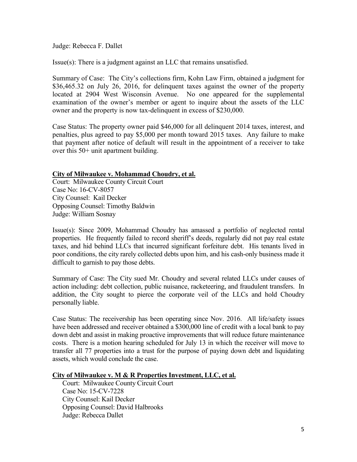Judge: Rebecca F. Dallet

Issue(s): There is a judgment against an LLC that remains unsatisfied.

Summary of Case: The City's collections firm, Kohn Law Firm, obtained a judgment for \$36,465.32 on July 26, 2016, for delinguent taxes against the owner of the property located at 2904 West Wisconsin Avenue. No one appeared for the supplemental examination of the owner's member or agent to inquire about the assets of the LLC owner and the property is now tax-delinquent in excess of \$230,000.

Case Status: The property owner paid \$46,000 for all delinquent 2014 taxes, interest, and penalties, plus agreed to pay \$5,000 per month toward 2015 taxes. Any failure to make that payment after notice of default will result in the appointment of a receiver to take over this 50+ unit apartment building.

#### **City of Milwaukee v. Mohammad Choudry, et al.**

Court: Milwaukee County Circuit Court Case No: 16-CV-8057 City Counsel: Kail Decker Opposing Counsel: Timothy Baldwin Judge: William Sosnay

Issue(s): Since 2009, Mohammad Choudry has amassed a portfolio of neglected rental properties. He frequently failed to record sheriff's deeds, regularly did not pay real estate taxes, and hid behind LLCs that incurred significant forfeiture debt. His tenants lived in poor conditions, the city rarely collected debts upon him, and his cash-only business made it difficult to garnish to pay those debts.

Summary of Case: The City sued Mr. Choudry and several related LLCs under causes of action including: debt collection, public nuisance, racketeering, and fraudulent transfers. In addition, the City sought to pierce the corporate veil of the LLCs and hold Choudry personally liable.

Case Status: The receivership has been operating since Nov. 2016. All life/safety issues have been addressed and receiver obtained a \$300,000 line of credit with a local bank to pay down debt and assist in making proactive improvements that will reduce future maintenance costs. There is a motion hearing scheduled for July 13 in which the receiver will move to transfer all 77 properties into a trust for the purpose of paying down debt and liquidating assets, which would conclude the case.

#### **City of Milwaukee v. M & R Properties Investment, LLC, et al.**

 Court: Milwaukee County Circuit Court Case No: 15-CV-7228 City Counsel: Kail Decker Opposing Counsel: David Halbrooks Judge: Rebecca Dallet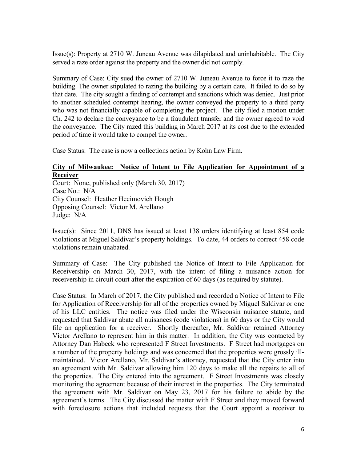Issue(s): Property at 2710 W. Juneau Avenue was dilapidated and uninhabitable. The City served a raze order against the property and the owner did not comply.

Summary of Case: City sued the owner of 2710 W. Juneau Avenue to force it to raze the building. The owner stipulated to razing the building by a certain date. It failed to do so by that date. The city sought a finding of contempt and sanctions which was denied. Just prior to another scheduled contempt hearing, the owner conveyed the property to a third party who was not financially capable of completing the project. The city filed a motion under Ch. 242 to declare the conveyance to be a fraudulent transfer and the owner agreed to void the conveyance. The City razed this building in March 2017 at its cost due to the extended period of time it would take to compel the owner.

Case Status: The case is now a collections action by Kohn Law Firm.

# **City of Milwaukee: Notice of Intent to File Application for Appointment of a Receiver**

Court: None, published only (March 30, 2017) Case No.: N/A City Counsel: Heather Hecimovich Hough Opposing Counsel: Victor M. Arellano Judge: N/A

Issue(s): Since 2011, DNS has issued at least 138 orders identifying at least 854 code violations at Miguel Saldivar's property holdings. To date, 44 orders to correct 458 code violations remain unabated.

Summary of Case: The City published the Notice of Intent to File Application for Receivership on March 30, 2017, with the intent of filing a nuisance action for receivership in circuit court after the expiration of 60 days (as required by statute).

Case Status: In March of 2017, the City published and recorded a Notice of Intent to File for Application of Receivership for all of the properties owned by Miguel Saldivar or one of his LLC entities. The notice was filed under the Wisconsin nuisance statute, and requested that Saldivar abate all nuisances (code violations) in 60 days or the City would file an application for a receiver. Shortly thereafter, Mr. Saldivar retained Attorney Victor Arellano to represent him in this matter. In addition, the City was contacted by Attorney Dan Habeck who represented F Street Investments. F Street had mortgages on a number of the property holdings and was concerned that the properties were grossly illmaintained. Victor Arellano, Mr. Saldivar's attorney, requested that the City enter into an agreement with Mr. Saldivar allowing him 120 days to make all the repairs to all of the properties. The City entered into the agreement. F Street Investments was closely monitoring the agreement because of their interest in the properties. The City terminated the agreement with Mr. Saldivar on May 23, 2017 for his failure to abide by the agreement's terms. The City discussed the matter with F Street and they moved forward with foreclosure actions that included requests that the Court appoint a receiver to